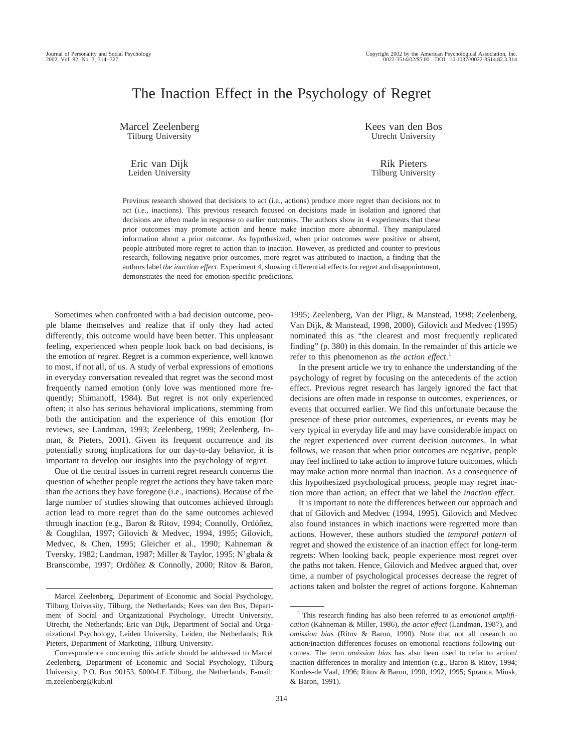# The Inaction Effect in the Psychology of Regret

Marcel Zeelenberg Tilburg University

> Eric van Dijk Leiden University

Kees van den Bos Utrecht University

Rik Pieters Tilburg University

Previous research showed that decisions to act (i.e., actions) produce more regret than decisions not to act (i.e., inactions). This previous research focused on decisions made in isolation and ignored that decisions are often made in response to earlier outcomes. The authors show in 4 experiments that these prior outcomes may promote action and hence make inaction more abnormal. They manipulated information about a prior outcome. As hypothesized, when prior outcomes were positive or absent, people attributed more regret to action than to inaction. However, as predicted and counter to previous research, following negative prior outcomes, more regret was attributed to inaction, a finding that the authors label *the inaction effect*. Experiment 4, showing differential effects for regret and disappointment, demonstrates the need for emotion-specific predictions.

Sometimes when confronted with a bad decision outcome, people blame themselves and realize that if only they had acted differently, this outcome would have been better. This unpleasant feeling, experienced when people look back on bad decisions, is the emotion of *regret*. Regret is a common experience, well known to most, if not all, of us. A study of verbal expressions of emotions in everyday conversation revealed that regret was the second most frequently named emotion (only love was mentioned more frequently; Shimanoff, 1984). But regret is not only experienced often; it also has serious behavioral implications, stemming from both the anticipation and the experience of this emotion (for reviews, see Landman, 1993; Zeelenberg, 1999; Zeelenberg, Inman, & Pieters, 2001). Given its frequent occurrence and its potentially strong implications for our day-to-day behavior, it is important to develop our insights into the psychology of regret.

One of the central issues in current regret research concerns the question of whether people regret the actions they have taken more than the actions they have foregone (i.e., inactions). Because of the large number of studies showing that outcomes achieved through action lead to more regret than do the same outcomes achieved through inaction (e.g., Baron & Ritov, 1994; Connolly, Ordóñez, & Coughlan, 1997; Gilovich & Medvec, 1994, 1995; Gilovich, Medvec, & Chen, 1995; Gleicher et al., 1990; Kahneman & Tversky, 1982; Landman, 1987; Miller & Taylor, 1995; N'gbala & Branscombe, 1997; Ordóñez & Connolly, 2000; Ritov & Baron,

1995; Zeelenberg, Van der Pligt, & Manstead, 1998; Zeelenberg, Van Dijk, & Manstead, 1998, 2000), Gilovich and Medvec (1995) nominated this as "the clearest and most frequently replicated finding" (p. 380) in this domain. In the remainder of this article we refer to this phenomenon as *the action effect*. 1

In the present article we try to enhance the understanding of the psychology of regret by focusing on the antecedents of the action effect. Previous regret research has largely ignored the fact that decisions are often made in response to outcomes, experiences, or events that occurred earlier. We find this unfortunate because the presence of these prior outcomes, experiences, or events may be very typical in everyday life and may have considerable impact on the regret experienced over current decision outcomes. In what follows, we reason that when prior outcomes are negative, people may feel inclined to take action to improve future outcomes, which may make action more normal than inaction. As a consequence of this hypothesized psychological process, people may regret inaction more than action, an effect that we label the *inaction effect*.

It is important to note the differences between our approach and that of Gilovich and Medvec (1994, 1995). Gilovich and Medvec also found instances in which inactions were regretted more than actions. However, these authors studied the *temporal pattern* of regret and showed the existence of an inaction effect for long-term regrets: When looking back, people experience most regret over the paths not taken. Hence, Gilovich and Medvec argued that, over time, a number of psychological processes decrease the regret of actions taken and bolster the regret of actions forgone. Kahneman

Marcel Zeelenberg, Department of Economic and Social Psychology, Tilburg University, Tilburg, the Netherlands; Kees van den Bos, Department of Social and Organizational Psychology, Utrecht University, Utrecht, the Netherlands; Eric van Dijk, Department of Social and Organizational Psychology, Leiden University, Leiden, the Netherlands; Rik Pieters, Department of Marketing, Tilburg University.

Correspondence concerning this article should be addressed to Marcel Zeelenberg, Department of Economic and Social Psychology, Tilburg University, P.O. Box 90153, 5000-LE Tilburg, the Netherlands. E-mail: m.zeelenberg@kub.nl

<sup>&</sup>lt;sup>1</sup> This research finding has also been referred to as *emotional amplification* (Kahneman & Miller, 1986), *the actor effect* (Landman, 1987), and *omission bias* (Ritov & Baron, 1990). Note that not all research on action/inaction differences focuses on emotional reactions following outcomes. The term *omission bias* has also been used to refer to action/ inaction differences in morality and intention (e.g., Baron & Ritov, 1994; Kordes-de Vaal, 1996; Ritov & Baron, 1990, 1992, 1995; Spranca, Minsk, & Baron, 1991).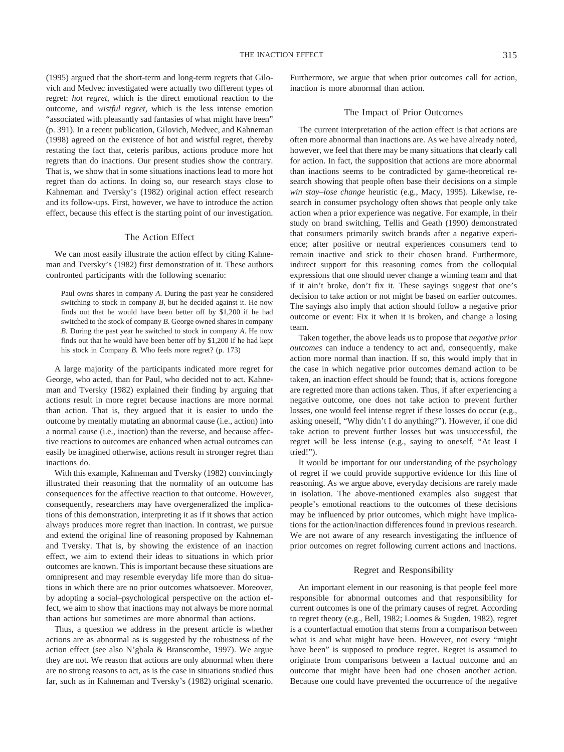(1995) argued that the short-term and long-term regrets that Gilovich and Medvec investigated were actually two different types of regret: *hot regret*, which is the direct emotional reaction to the outcome, and *wistful regret*, which is the less intense emotion "associated with pleasantly sad fantasies of what might have been" (p. 391). In a recent publication, Gilovich, Medvec, and Kahneman (1998) agreed on the existence of hot and wistful regret, thereby restating the fact that, ceteris paribus, actions produce more hot regrets than do inactions. Our present studies show the contrary. That is, we show that in some situations inactions lead to more hot regret than do actions. In doing so, our research stays close to Kahneman and Tversky's (1982) original action effect research and its follow-ups. First, however, we have to introduce the action effect, because this effect is the starting point of our investigation.

### The Action Effect

We can most easily illustrate the action effect by citing Kahneman and Tversky's (1982) first demonstration of it. These authors confronted participants with the following scenario:

Paul owns shares in company *A*. During the past year he considered switching to stock in company *B*, but he decided against it. He now finds out that he would have been better off by \$1,200 if he had switched to the stock of company *B*. George owned shares in company *B*. During the past year he switched to stock in company *A*. He now finds out that he would have been better off by \$1,200 if he had kept his stock in Company *B*. Who feels more regret? (p. 173)

A large majority of the participants indicated more regret for George, who acted, than for Paul, who decided not to act. Kahneman and Tversky (1982) explained their finding by arguing that actions result in more regret because inactions are more normal than action. That is, they argued that it is easier to undo the outcome by mentally mutating an abnormal cause (i.e., action) into a normal cause (i.e., inaction) than the reverse, and because affective reactions to outcomes are enhanced when actual outcomes can easily be imagined otherwise, actions result in stronger regret than inactions do.

With this example, Kahneman and Tversky (1982) convincingly illustrated their reasoning that the normality of an outcome has consequences for the affective reaction to that outcome. However, consequently, researchers may have overgeneralized the implications of this demonstration, interpreting it as if it shows that action always produces more regret than inaction. In contrast, we pursue and extend the original line of reasoning proposed by Kahneman and Tversky. That is, by showing the existence of an inaction effect, we aim to extend their ideas to situations in which prior outcomes are known. This is important because these situations are omnipresent and may resemble everyday life more than do situations in which there are no prior outcomes whatsoever. Moreover, by adopting a social–psychological perspective on the action effect, we aim to show that inactions may not always be more normal than actions but sometimes are more abnormal than actions.

Thus, a question we address in the present article is whether actions are as abnormal as is suggested by the robustness of the action effect (see also N'gbala & Branscombe, 1997). We argue they are not. We reason that actions are only abnormal when there are no strong reasons to act, as is the case in situations studied thus far, such as in Kahneman and Tversky's (1982) original scenario. Furthermore, we argue that when prior outcomes call for action, inaction is more abnormal than action.

## The Impact of Prior Outcomes

The current interpretation of the action effect is that actions are often more abnormal than inactions are. As we have already noted, however, we feel that there may be many situations that clearly call for action. In fact, the supposition that actions are more abnormal than inactions seems to be contradicted by game-theoretical research showing that people often base their decisions on a simple *win stay–lose change* heuristic (e.g., Macy, 1995). Likewise, research in consumer psychology often shows that people only take action when a prior experience was negative. For example, in their study on brand switching, Tellis and Geath (1990) demonstrated that consumers primarily switch brands after a negative experience; after positive or neutral experiences consumers tend to remain inactive and stick to their chosen brand. Furthermore, indirect support for this reasoning comes from the colloquial expressions that one should never change a winning team and that if it ain't broke, don't fix it. These sayings suggest that one's decision to take action or not might be based on earlier outcomes. The sayings also imply that action should follow a negative prior outcome or event: Fix it when it is broken, and change a losing team.

Taken together, the above leads us to propose that *negative prior outcomes* can induce a tendency to act and, consequently, make action more normal than inaction. If so, this would imply that in the case in which negative prior outcomes demand action to be taken, an inaction effect should be found; that is, actions foregone are regretted more than actions taken. Thus, if after experiencing a negative outcome, one does not take action to prevent further losses, one would feel intense regret if these losses do occur (e.g., asking oneself, "Why didn't I do anything?"). However, if one did take action to prevent further losses but was unsuccessful, the regret will be less intense (e.g., saying to oneself, "At least I tried!").

It would be important for our understanding of the psychology of regret if we could provide supportive evidence for this line of reasoning. As we argue above, everyday decisions are rarely made in isolation. The above-mentioned examples also suggest that people's emotional reactions to the outcomes of these decisions may be influenced by prior outcomes, which might have implications for the action/inaction differences found in previous research. We are not aware of any research investigating the influence of prior outcomes on regret following current actions and inactions.

#### Regret and Responsibility

An important element in our reasoning is that people feel more responsible for abnormal outcomes and that responsibility for current outcomes is one of the primary causes of regret. According to regret theory (e.g., Bell, 1982; Loomes & Sugden, 1982), regret is a counterfactual emotion that stems from a comparison between what is and what might have been. However, not every "might have been" is supposed to produce regret. Regret is assumed to originate from comparisons between a factual outcome and an outcome that might have been had one chosen another action. Because one could have prevented the occurrence of the negative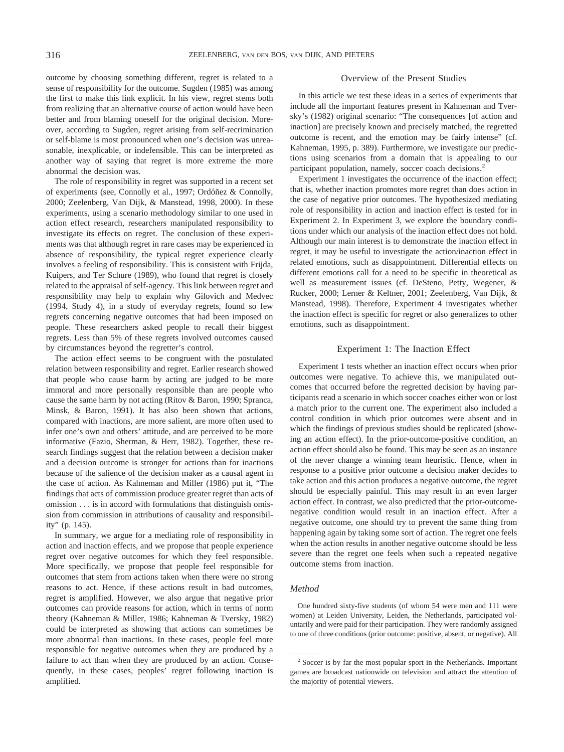outcome by choosing something different, regret is related to a sense of responsibility for the outcome. Sugden (1985) was among the first to make this link explicit. In his view, regret stems both from realizing that an alternative course of action would have been better and from blaming oneself for the original decision. Moreover, according to Sugden, regret arising from self-recrimination or self-blame is most pronounced when one's decision was unreasonable, inexplicable, or indefensible. This can be interpreted as another way of saying that regret is more extreme the more abnormal the decision was.

The role of responsibility in regret was supported in a recent set of experiments (see, Connolly et al., 1997; Ordóñez & Connolly, 2000; Zeelenberg, Van Dijk, & Manstead, 1998, 2000). In these experiments, using a scenario methodology similar to one used in action effect research, researchers manipulated responsibility to investigate its effects on regret. The conclusion of these experiments was that although regret in rare cases may be experienced in absence of responsibility, the typical regret experience clearly involves a feeling of responsibility. This is consistent with Frijda, Kuipers, and Ter Schure (1989), who found that regret is closely related to the appraisal of self-agency. This link between regret and responsibility may help to explain why Gilovich and Medvec (1994, Study 4), in a study of everyday regrets, found so few regrets concerning negative outcomes that had been imposed on people. These researchers asked people to recall their biggest regrets. Less than 5% of these regrets involved outcomes caused by circumstances beyond the regretter's control.

The action effect seems to be congruent with the postulated relation between responsibility and regret. Earlier research showed that people who cause harm by acting are judged to be more immoral and more personally responsible than are people who cause the same harm by not acting (Ritov & Baron, 1990; Spranca, Minsk, & Baron, 1991). It has also been shown that actions, compared with inactions, are more salient, are more often used to infer one's own and others' attitude, and are perceived to be more informative (Fazio, Sherman, & Herr, 1982). Together, these research findings suggest that the relation between a decision maker and a decision outcome is stronger for actions than for inactions because of the salience of the decision maker as a causal agent in the case of action. As Kahneman and Miller (1986) put it, "The findings that acts of commission produce greater regret than acts of omission . . . is in accord with formulations that distinguish omission from commission in attributions of causality and responsibility" (p. 145).

In summary, we argue for a mediating role of responsibility in action and inaction effects, and we propose that people experience regret over negative outcomes for which they feel responsible. More specifically, we propose that people feel responsible for outcomes that stem from actions taken when there were no strong reasons to act. Hence, if these actions result in bad outcomes, regret is amplified. However, we also argue that negative prior outcomes can provide reasons for action, which in terms of norm theory (Kahneman & Miller, 1986; Kahneman & Tversky, 1982) could be interpreted as showing that actions can sometimes be more abnormal than inactions. In these cases, people feel more responsible for negative outcomes when they are produced by a failure to act than when they are produced by an action. Consequently, in these cases, peoples' regret following inaction is amplified.

### Overview of the Present Studies

In this article we test these ideas in a series of experiments that include all the important features present in Kahneman and Tversky's (1982) original scenario: "The consequences [of action and inaction] are precisely known and precisely matched, the regretted outcome is recent, and the emotion may be fairly intense" (cf. Kahneman, 1995, p. 389). Furthermore, we investigate our predictions using scenarios from a domain that is appealing to our participant population, namely, soccer coach decisions.<sup>2</sup>

Experiment 1 investigates the occurrence of the inaction effect; that is, whether inaction promotes more regret than does action in the case of negative prior outcomes. The hypothesized mediating role of responsibility in action and inaction effect is tested for in Experiment 2. In Experiment 3, we explore the boundary conditions under which our analysis of the inaction effect does not hold. Although our main interest is to demonstrate the inaction effect in regret, it may be useful to investigate the action/inaction effect in related emotions, such as disappointment. Differential effects on different emotions call for a need to be specific in theoretical as well as measurement issues (cf. DeSteno, Petty, Wegener, & Rucker, 2000; Lerner & Keltner, 2001; Zeelenberg, Van Dijk, & Manstead, 1998). Therefore, Experiment 4 investigates whether the inaction effect is specific for regret or also generalizes to other emotions, such as disappointment.

# Experiment 1: The Inaction Effect

Experiment 1 tests whether an inaction effect occurs when prior outcomes were negative. To achieve this, we manipulated outcomes that occurred before the regretted decision by having participants read a scenario in which soccer coaches either won or lost a match prior to the current one. The experiment also included a control condition in which prior outcomes were absent and in which the findings of previous studies should be replicated (showing an action effect). In the prior-outcome-positive condition, an action effect should also be found. This may be seen as an instance of the never change a winning team heuristic. Hence, when in response to a positive prior outcome a decision maker decides to take action and this action produces a negative outcome, the regret should be especially painful. This may result in an even larger action effect. In contrast, we also predicted that the prior-outcomenegative condition would result in an inaction effect. After a negative outcome, one should try to prevent the same thing from happening again by taking some sort of action. The regret one feels when the action results in another negative outcome should be less severe than the regret one feels when such a repeated negative outcome stems from inaction.

#### *Method*

One hundred sixty-five students (of whom 54 were men and 111 were women) at Leiden University, Leiden, the Netherlands, participated voluntarily and were paid for their participation. They were randomly assigned to one of three conditions (prior outcome: positive, absent, or negative). All

 $2$  Soccer is by far the most popular sport in the Netherlands. Important games are broadcast nationwide on television and attract the attention of the majority of potential viewers.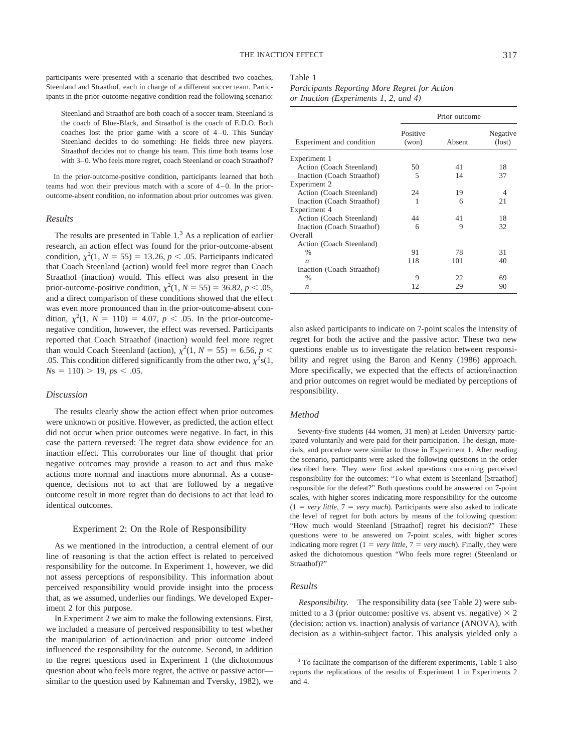participants were presented with a scenario that described two coaches, Steenland and Straathof, each in charge of a different soccer team. Participants in the prior-outcome-negative condition read the following scenario:

Steenland and Straathof are both coach of a soccer team. Steenland is the coach of Blue-Black, and Straathof is the coach of E.D.O. Both coaches lost the prior game with a score of 4–0. This Sunday Steenland decides to do something: He fields three new players. Straathof decides not to change his team. This time both teams lose with 3–0. Who feels more regret, coach Steenland or coach Straathof?

In the prior-outcome-positive condition, participants learned that both teams had won their previous match with a score of 4–0. In the prioroutcome-absent condition, no information about prior outcomes was given.

#### *Results*

The results are presented in Table  $1<sup>3</sup>$  As a replication of earlier research, an action effect was found for the prior-outcome-absent condition,  $\chi^2(1, N = 55) = 13.26$ ,  $p < .05$ . Participants indicated that Coach Steenland (action) would feel more regret than Coach Straathof (inaction) would. This effect was also present in the prior-outcome-positive condition,  $\chi^2(1, N = 55) = 36.82, p < .05$ , and a direct comparison of these conditions showed that the effect was even more pronounced than in the prior-outcome-absent condition,  $\chi^2(1, N = 110) = 4.07, p < .05$ . In the prior-outcomenegative condition, however, the effect was reversed. Participants reported that Coach Straathof (inaction) would feel more regret than would Coach Steenland (action),  $\chi^2(1, N = 55) = 6.56$ ,  $p <$ .05. This condition differed significantly from the other two,  $\chi^2$ s(1,  $N_s = 110$ ) > 19,  $ps < .05$ .

#### *Discussion*

The results clearly show the action effect when prior outcomes were unknown or positive. However, as predicted, the action effect did not occur when prior outcomes were negative. In fact, in this case the pattern reversed: The regret data show evidence for an inaction effect. This corroborates our line of thought that prior negative outcomes may provide a reason to act and thus make actions more normal and inactions more abnormal. As a consequence, decisions not to act that are followed by a negative outcome result in more regret than do decisions to act that lead to identical outcomes.

#### Experiment 2: On the Role of Responsibility

As we mentioned in the introduction, a central element of our line of reasoning is that the action effect is related to perceived responsibility for the outcome. In Experiment 1, however, we did not assess perceptions of responsibility. This information about perceived responsibility would provide insight into the process that, as we assumed, underlies our findings. We developed Experiment 2 for this purpose.

In Experiment 2 we aim to make the following extensions. First, we included a measure of perceived responsibility to test whether the manipulation of action/inaction and prior outcome indeed influenced the responsibility for the outcome. Second, in addition to the regret questions used in Experiment 1 (the dichotomous question about who feels more regret, the active or passive actor similar to the question used by Kahneman and Tversky, 1982), we

# Table 1

| Participants Reporting More Regret for Action |  |
|-----------------------------------------------|--|
| or Inaction (Experiments 1, 2, and 4)         |  |

|                            | Prior outcome     |        |                    |  |  |  |
|----------------------------|-------------------|--------|--------------------|--|--|--|
| Experiment and condition   | Positive<br>(won) | Absent | Negative<br>(lost) |  |  |  |
| Experiment 1               |                   |        |                    |  |  |  |
| Action (Coach Steenland)   | 50                | 41     | 18                 |  |  |  |
| Inaction (Coach Straathof) | 5                 | 14     | 37                 |  |  |  |
| Experiment 2               |                   |        |                    |  |  |  |
| Action (Coach Steenland)   | 24                | 19     | 4                  |  |  |  |
| Inaction (Coach Straathof) |                   | 6      | 21                 |  |  |  |
| Experiment 4               |                   |        |                    |  |  |  |
| Action (Coach Steenland)   | 44                | 41     | 18                 |  |  |  |
| Inaction (Coach Straathof) | 6                 | 9      | 32                 |  |  |  |
| Overall                    |                   |        |                    |  |  |  |
| Action (Coach Steenland)   |                   |        |                    |  |  |  |
| $\%$                       | 91                | 78     | 31                 |  |  |  |
| $\boldsymbol{n}$           | 118               | 101    | 40                 |  |  |  |
| Inaction (Coach Straathof) |                   |        |                    |  |  |  |
| $\%$                       | 9                 | 22.    | 69                 |  |  |  |
| $\boldsymbol{n}$           | 12                | 29     | 90                 |  |  |  |
|                            |                   |        |                    |  |  |  |

also asked participants to indicate on 7-point scales the intensity of regret for both the active and the passive actor. These two new questions enable us to investigate the relation between responsibility and regret using the Baron and Kenny (1986) approach. More specifically, we expected that the effects of action/inaction and prior outcomes on regret would be mediated by perceptions of responsibility.

## *Method*

Seventy-five students (44 women, 31 men) at Leiden University participated voluntarily and were paid for their participation. The design, materials, and procedure were similar to those in Experiment 1. After reading the scenario, participants were asked the following questions in the order described here. They were first asked questions concerning perceived responsibility for the outcomes: "To what extent is Steenland [Straathof] responsible for the defeat?" Both questions could be answered on 7-point scales, with higher scores indicating more responsibility for the outcome  $(1 = \text{very little}, 7 = \text{very much})$ . Participants were also asked to indicate the level of regret for both actors by means of the following question: "How much would Steenland [Straathof] regret his decision?" These questions were to be answered on 7-point scales, with higher scores indicating more regret  $(1 = very little, 7 = very much)$ . Finally, they were asked the dichotomous question "Who feels more regret (Steenland or Straathof)?"

# *Results*

*Responsibility.* The responsibility data (see Table 2) were submitted to a 3 (prior outcome: positive vs. absent vs. negative)  $\times$  2 (decision: action vs. inaction) analysis of variance (ANOVA), with decision as a within-subject factor. This analysis yielded only a

<sup>&</sup>lt;sup>3</sup> To facilitate the comparison of the different experiments, Table 1 also reports the replications of the results of Experiment 1 in Experiments 2 and 4.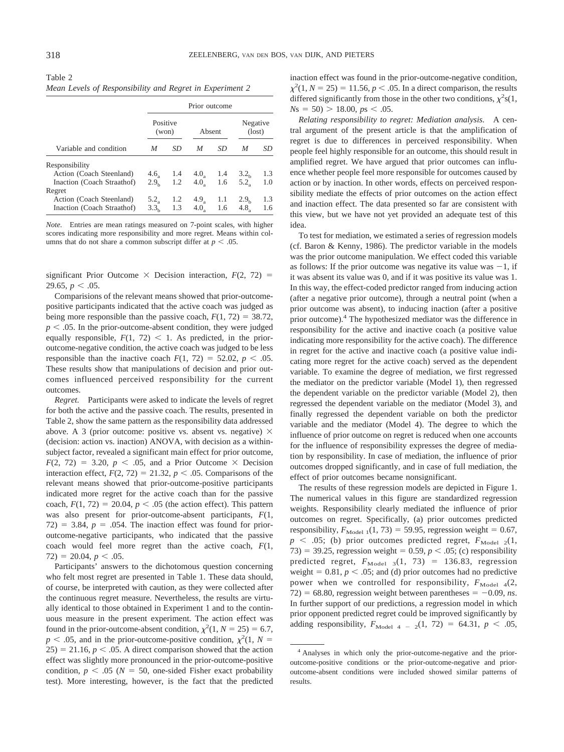| Table 2                                                  |  |
|----------------------------------------------------------|--|
| Mean Levels of Responsibility and Regret in Experiment 2 |  |

|                            | Prior outcome     |     |                  |     |                    |     |
|----------------------------|-------------------|-----|------------------|-----|--------------------|-----|
|                            | Positive<br>(won) |     | Absent           |     | Negative<br>(lost) |     |
| Variable and condition     | M                 | SD  | M                | SD  | M                  | SD  |
| Responsibility             |                   |     |                  |     |                    |     |
| Action (Coach Steenland)   | $4.6_{\circ}$     | 1.4 | 4.0, 1.4         |     | 3.2 <sub>b</sub>   | 1.3 |
| Inaction (Coach Straathof) | 2.9 <sub>b</sub>  | 1.2 | 4.0 <sub>1</sub> | 1.6 | 5.2 <sub>0</sub>   | 1.0 |
| Regret                     |                   |     |                  |     |                    |     |
| Action (Coach Steenland)   | 5.2 <sub>°</sub>  | 1.2 | 4.9 <sub>a</sub> | 1.1 | 2.9 <sub>b</sub>   | 1.3 |
| Inaction (Coach Straathof) | 3.3 <sub>b</sub>  | 1.3 | 4.0 <sub>°</sub> | 1.6 | 4.8 <sub>°</sub>   | 1.6 |

*Note.* Entries are mean ratings measured on 7-point scales, with higher scores indicating more responsibility and more regret. Means within columns that do not share a common subscript differ at  $p < .05$ .

significant Prior Outcome  $\times$  Decision interaction,  $F(2, 72)$  =  $29.65, p < .05$ .

Comparisions of the relevant means showed that prior-outcomepositive participants indicated that the active coach was judged as being more responsible than the passive coach,  $F(1, 72) = 38.72$ ,  $p < .05$ . In the prior-outcome-absent condition, they were judged equally responsible,  $F(1, 72) < 1$ . As predicted, in the prioroutcome-negative condition, the active coach was judged to be less responsible than the inactive coach  $F(1, 72) = 52.02$ ,  $p < .05$ . These results show that manipulations of decision and prior outcomes influenced perceived responsibility for the current outcomes.

*Regret.* Participants were asked to indicate the levels of regret for both the active and the passive coach. The results, presented in Table 2, show the same pattern as the responsibility data addressed above. A 3 (prior outcome: positive vs. absent vs. negative)  $\times$ (decision: action vs. inaction) ANOVA, with decision as a withinsubject factor, revealed a significant main effect for prior outcome,  $F(2, 72) = 3.20, p < .05$ , and a Prior Outcome  $\times$  Decision interaction effect,  $F(2, 72) = 21.32$ ,  $p < .05$ . Comparisons of the relevant means showed that prior-outcome-positive participants indicated more regret for the active coach than for the passive coach,  $F(1, 72) = 20.04$ ,  $p < .05$  (the action effect). This pattern was also present for prior-outcome-absent participants, *F*(1,  $72) = 3.84$ ,  $p = .054$ . The inaction effect was found for prioroutcome-negative participants, who indicated that the passive coach would feel more regret than the active coach, *F*(1,  $72) = 20.04, p < .05.$ 

Participants' answers to the dichotomous question concerning who felt most regret are presented in Table 1. These data should, of course, be interpreted with caution, as they were collected after the continuous regret measure. Nevertheless, the results are virtually identical to those obtained in Experiment 1 and to the continuous measure in the present experiment. The action effect was found in the prior-outcome-absent condition,  $\chi^2(1, N = 25) = 6.7$ ,  $p < .05$ , and in the prior-outcome-positive condition,  $\chi^2(1, N =$  $(25) = 21.16, p \leq .05$ . A direct comparison showed that the action effect was slightly more pronounced in the prior-outcome-positive condition,  $p < .05$  ( $N = 50$ , one-sided Fisher exact probability test). More interesting, however, is the fact that the predicted inaction effect was found in the prior-outcome-negative condition,  $\chi^2(1, N = 25) = 11.56, p < .05$ . In a direct comparison, the results differed significantly from those in the other two conditions,  $\chi^2$ s(1,  $N_s = 50$ ) > 18.00,  $ps < .05$ .

*Relating responsibility to regret: Mediation analysis.* A central argument of the present article is that the amplification of regret is due to differences in perceived responsibility. When people feel highly responsible for an outcome, this should result in amplified regret. We have argued that prior outcomes can influence whether people feel more responsible for outcomes caused by action or by inaction. In other words, effects on perceived responsibility mediate the effects of prior outcomes on the action effect and inaction effect. The data presented so far are consistent with this view, but we have not yet provided an adequate test of this idea.

To test for mediation, we estimated a series of regression models (cf. Baron & Kenny, 1986). The predictor variable in the models was the prior outcome manipulation. We effect coded this variable as follows: If the prior outcome was negative its value was  $-1$ , if it was absent its value was 0, and if it was positive its value was 1. In this way, the effect-coded predictor ranged from inducing action (after a negative prior outcome), through a neutral point (when a prior outcome was absent), to inducing inaction (after a positive prior outcome).4 The hypothesized mediator was the difference in responsibility for the active and inactive coach (a positive value indicating more responsibility for the active coach). The difference in regret for the active and inactive coach (a positive value indicating more regret for the active coach) served as the dependent variable. To examine the degree of mediation, we first regressed the mediator on the predictor variable (Model 1), then regressed the dependent variable on the predictor variable (Model 2), then regressed the dependent variable on the mediator (Model 3), and finally regressed the dependent variable on both the predictor variable and the mediator (Model 4). The degree to which the influence of prior outcome on regret is reduced when one accounts for the influence of responsibility expresses the degree of mediation by responsibility. In case of mediation, the influence of prior outcomes dropped significantly, and in case of full mediation, the effect of prior outcomes became nonsignificant.

The results of these regression models are depicted in Figure 1. The numerical values in this figure are standardized regression weights. Responsibility clearly mediated the influence of prior outcomes on regret. Specifically, (a) prior outcomes predicted responsibility,  $F_{\text{Model 1}}(1, 73) = 59.95$ , regression weight = 0.67,  $p \leq 0.05$ ; (b) prior outcomes predicted regret,  $F_{\text{Model 2}}(1,$  $73$ ) = 39.25, regression weight = 0.59,  $p < .05$ ; (c) responsibility predicted regret,  $F_{\text{Model 3}}(1, 73) = 136.83$ , regression weight  $= 0.81$ ,  $p < .05$ ; and (d) prior outcomes had no predictive power when we controlled for responsibility,  $F_{\text{Model 4}}(2,$  $72$ ) = 68.80, regression weight between parentheses =  $-0.09$ , *ns*. In further support of our predictions, a regression model in which prior opponent predicted regret could be improved significantly by adding responsibility,  $F_{\text{Model 4}} = \frac{1}{2}(1, 72) = 64.31, p < .05,$ 

<sup>4</sup> Analyses in which only the prior-outcome-negative and the prioroutcome-positive conditions or the prior-outcome-negative and prioroutcome-absent conditions were included showed similar patterns of results.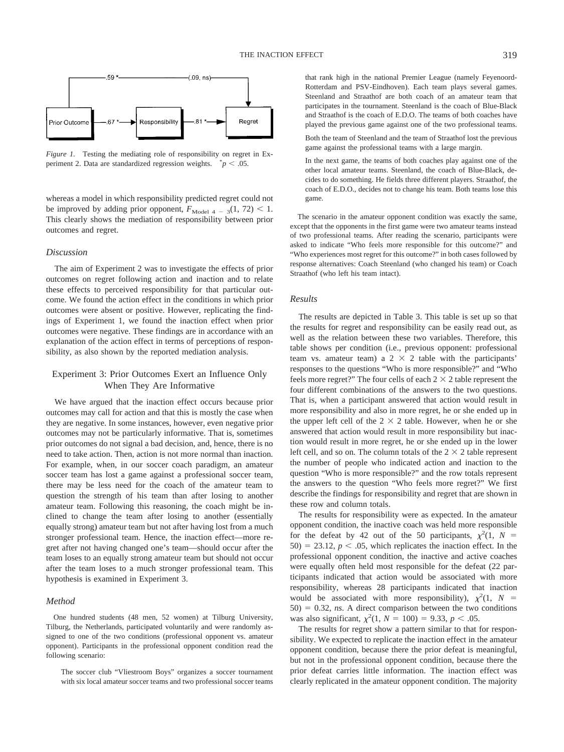

*Figure 1.* Testing the mediating role of responsibility on regret in Experiment 2. Data are standardized regression weights.  $\degree p < .05$ .

whereas a model in which responsibility predicted regret could not be improved by adding prior opponent,  $F_{\text{Model 4 - 3}}(1, 72) < 1$ . This clearly shows the mediation of responsibility between prior outcomes and regret.

## *Discussion*

The aim of Experiment 2 was to investigate the effects of prior outcomes on regret following action and inaction and to relate these effects to perceived responsibility for that particular outcome. We found the action effect in the conditions in which prior outcomes were absent or positive. However, replicating the findings of Experiment 1, we found the inaction effect when prior outcomes were negative. These findings are in accordance with an explanation of the action effect in terms of perceptions of responsibility, as also shown by the reported mediation analysis.

# Experiment 3: Prior Outcomes Exert an Influence Only When They Are Informative

We have argued that the inaction effect occurs because prior outcomes may call for action and that this is mostly the case when they are negative. In some instances, however, even negative prior outcomes may not be particularly informative. That is, sometimes prior outcomes do not signal a bad decision, and, hence, there is no need to take action. Then, action is not more normal than inaction. For example, when, in our soccer coach paradigm, an amateur soccer team has lost a game against a professional soccer team, there may be less need for the coach of the amateur team to question the strength of his team than after losing to another amateur team. Following this reasoning, the coach might be inclined to change the team after losing to another (essentially equally strong) amateur team but not after having lost from a much stronger professional team. Hence, the inaction effect—more regret after not having changed one's team—should occur after the team loses to an equally strong amateur team but should not occur after the team loses to a much stronger professional team. This hypothesis is examined in Experiment 3.

#### *Method*

One hundred students (48 men, 52 women) at Tilburg University, Tilburg, the Netherlands, participated voluntarily and were randomly assigned to one of the two conditions (professional opponent vs. amateur opponent). Participants in the professional opponent condition read the following scenario:

The soccer club "Vliestroom Boys" organizes a soccer tournament with six local amateur soccer teams and two professional soccer teams that rank high in the national Premier League (namely Feyenoord-Rotterdam and PSV-Eindhoven). Each team plays several games. Steenland and Straathof are both coach of an amateur team that participates in the tournament. Steenland is the coach of Blue-Black and Straathof is the coach of E.D.O. The teams of both coaches have played the previous game against one of the two professional teams.

Both the team of Steenland and the team of Straathof lost the previous game against the professional teams with a large margin.

In the next game, the teams of both coaches play against one of the other local amateur teams. Steenland, the coach of Blue-Black, decides to do something. He fields three different players. Straathof, the coach of E.D.O., decides not to change his team. Both teams lose this game.

The scenario in the amateur opponent condition was exactly the same, except that the opponents in the first game were two amateur teams instead of two professional teams. After reading the scenario, participants were asked to indicate "Who feels more responsible for this outcome?" and "Who experiences most regret for this outcome?" in both cases followed by response alternatives: Coach Steenland (who changed his team) or Coach Straathof (who left his team intact).

#### *Results*

The results are depicted in Table 3. This table is set up so that the results for regret and responsibility can be easily read out, as well as the relation between these two variables. Therefore, this table shows per condition (i.e., previous opponent: professional team vs. amateur team) a  $2 \times 2$  table with the participants' responses to the questions "Who is more responsible?" and "Who feels more regret?" The four cells of each 2  $\times$  2 table represent the four different combinations of the answers to the two questions. That is, when a participant answered that action would result in more responsibility and also in more regret, he or she ended up in the upper left cell of the  $2 \times 2$  table. However, when he or she answered that action would result in more responsibility but inaction would result in more regret, he or she ended up in the lower left cell, and so on. The column totals of the  $2 \times 2$  table represent the number of people who indicated action and inaction to the question "Who is more responsible?" and the row totals represent the answers to the question "Who feels more regret?" We first describe the findings for responsibility and regret that are shown in these row and column totals.

The results for responsibility were as expected. In the amateur opponent condition, the inactive coach was held more responsible for the defeat by 42 out of the 50 participants,  $\chi^2(1, N =$  $50$ ) = 23.12,  $p < .05$ , which replicates the inaction effect. In the professional opponent condition, the inactive and active coaches were equally often held most responsible for the defeat (22 participants indicated that action would be associated with more responsibility, whereas 28 participants indicated that inaction would be associated with more responsibility),  $\chi^2(1, N)$  $50$ ) = 0.32, *ns*. A direct comparison between the two conditions was also significant,  $\chi^2(1, N = 100) = 9.33, p < .05$ .

The results for regret show a pattern similar to that for responsibility. We expected to replicate the inaction effect in the amateur opponent condition, because there the prior defeat is meaningful, but not in the professional opponent condition, because there the prior defeat carries little information. The inaction effect was clearly replicated in the amateur opponent condition. The majority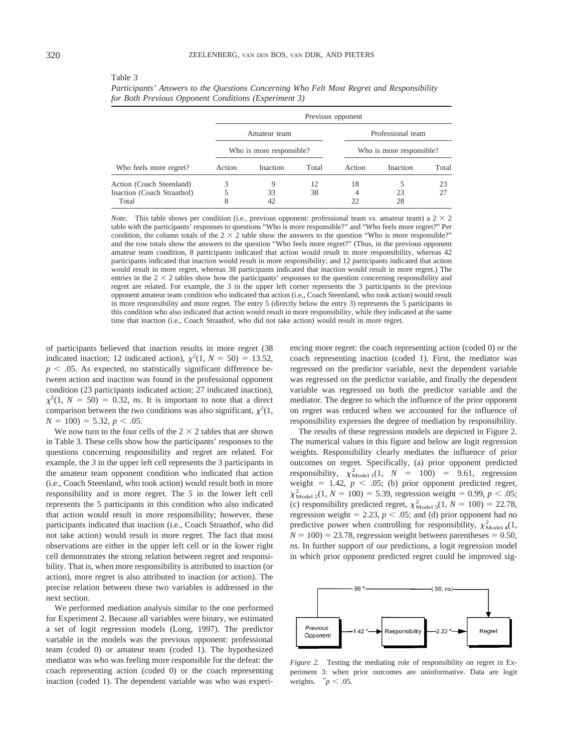|                            | Previous opponent |                          |       |                   |                          |       |  |
|----------------------------|-------------------|--------------------------|-------|-------------------|--------------------------|-------|--|
|                            |                   | Amateur team             |       | Professional team |                          |       |  |
|                            |                   | Who is more responsible? |       |                   | Who is more responsible? |       |  |
| Who feels more regret?     | Action            | Inaction                 | Total | Action            | Inaction                 | Total |  |
| Action (Coach Steenland)   |                   |                          | 12    | 18                |                          | 23    |  |
| Inaction (Coach Straathof) |                   | 33                       | 38    | 4                 | 23                       |       |  |
| Total                      | 8                 | 42                       |       | 22                | 28                       |       |  |

*Participants' Answers to the Questions Concerning Who Felt Most Regret and Responsibility for Both Previous Opponent Conditions (Experiment 3)*

*Note.* This table shows per condition (i.e., previous opponent: professional team vs. amateur team) a  $2 \times 2$ table with the participants' responses to questions "Who is more responsible?" and "Who feels more regret?" Per condition, the column totals of the  $2 \times 2$  table show the answers to the question "Who is more responsible?" and the row totals show the answers to the question "Who feels more regret?" (Thus, in the previous opponent amateur team condition, 8 participants indicated that action would result in more responsibility, whereas 42 participants indicated that inaction would result in more responsibility; and 12 participants indicated that action would result in more regret, whereas 38 participants indicated that inaction would result in more regret.) The entries in the  $2 \times 2$  tables show how the participants' responses to the question concerning responsibility and regret are related. For example, the 3 in the upper left corner represents the 3 participants in the previous opponent amateur team condition who indicated that action (i.e., Coach Steenland, who took action) would result in more responsibility and more regret. The entry 5 (directly below the entry 3) represents the 5 participants in this condition who also indicated that action would result in more responsibility, while they indicated at the same time that inaction (i.e., Coach Straathof, who did not take action) would result in more regret.

of participants believed that inaction results in more regret (38 indicated inaction; 12 indicated action),  $\chi^2(1, N = 50) = 13.52$ ,  $p < .05$ . As expected, no statistically significant difference between action and inaction was found in the professional opponent condition (23 participants indicated action; 27 indicated inaction),  $\chi^2(1, N = 50) = 0.32$ , *ns*. It is important to note that a direct comparison between the two conditions was also significant,  $\chi^2(1,$  $N = 100$ ) = 5.32,  $p < .05$ .

We now turn to the four cells of the  $2 \times 2$  tables that are shown in Table 3. These cells show how the participants' responses to the questions concerning responsibility and regret are related. For example, the *3* in the upper left cell represents the 3 participants in the amateur team opponent condition who indicated that action (i.e., Coach Steenland, who took action) would result both in more responsibility and in more regret. The *5* in the lower left cell represents the 5 participants in this condition who also indicated that action would result in more responsibility; however, these participants indicated that inaction (i.e., Coach Straathof, who did not take action) would result in more regret. The fact that most observations are either in the upper left cell or in the lower right cell demonstrates the strong relation between regret and responsibility. That is, when more responsibility is attributed to inaction (or action), more regret is also attributed to inaction (or action). The precise relation between these two variables is addressed in the next section.

We performed mediation analysis similar to the one performed for Experiment 2. Because all variables were binary, we estimated a set of logit regression models (Long, 1997). The predictor variable in the models was the previous opponent: professional team (coded 0) or amateur team (coded 1). The hypothesized mediator was who was feeling more responsible for the defeat: the coach representing action (coded 0) or the coach representing inaction (coded 1). The dependent variable was who was experiencing more regret: the coach representing action (coded 0) or the coach representing inaction (coded 1). First, the mediator was regressed on the predictor variable, next the dependent variable was regressed on the predictor variable, and finally the dependent variable was regressed on both the predictor variable and the mediator. The degree to which the influence of the prior opponent on regret was reduced when we accounted for the influence of responsibility expresses the degree of mediation by responsibility.

The results of these regression models are depicted in Figure 2. The numerical values in this figure and below are logit regression weights. Responsibility clearly mediates the influence of prior outcomes on regret. Specifically, (a) prior opponent predicted responsibility,  $\chi^2_{\text{Model 1}}(1, N = 100) = 9.61$ , regression weight  $= 1.42$ ,  $p \leq .05$ ; (b) prior opponent predicted regret,  $\chi^2_{\text{Model 2}}(1, N = 100) = 5.39$ , regression weight = 0.99, *p* < .05; (c) responsibility predicted regret,  $\chi^2_{\text{Model 3}}(1, N = 100) = 22.78$ , regression weight  $= 2.23$ ,  $p < .05$ ; and (d) prior opponent had no predictive power when controlling for responsibility,  $\chi^2_{\text{Model 4}}(1,$  $N = 100$ ) = 23.78, regression weight between parentheses = 0.50, *ns*. In further support of our predictions, a logit regression model in which prior opponent predicted regret could be improved sig-



*Figure 2.* Testing the mediating role of responsibility on regret in Experiment 3: when prior outcomes are uninformative. Data are logit weights.  $\degree p < .05$ .

Table 3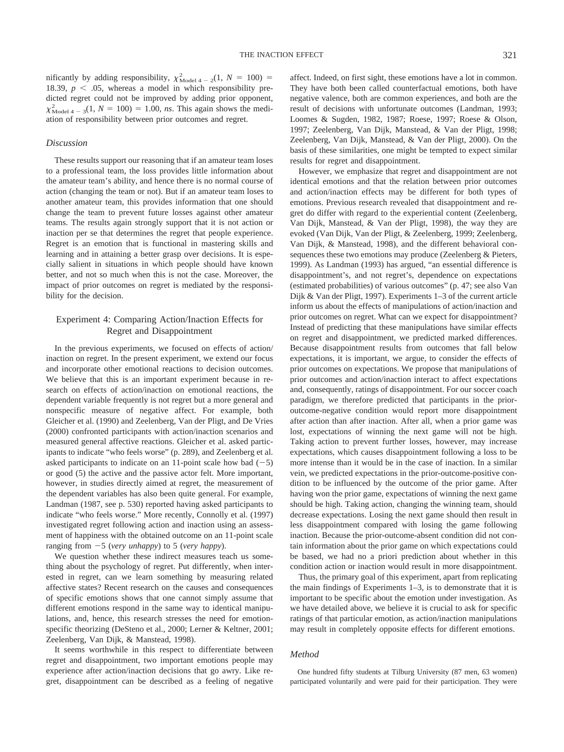nificantly by adding responsibility,  $\chi^2_{\text{Model 4-2}}(1, N = 100)$  = 18.39,  $p < .05$ , whereas a model in which responsibility predicted regret could not be improved by adding prior opponent,  $\chi^2_{\text{Model 4--3}}(1, N = 100) = 1.00$ , *ns*. This again shows the mediation of responsibility between prior outcomes and regret.

### *Discussion*

These results support our reasoning that if an amateur team loses to a professional team, the loss provides little information about the amateur team's ability, and hence there is no normal course of action (changing the team or not). But if an amateur team loses to another amateur team, this provides information that one should change the team to prevent future losses against other amateur teams. The results again strongly support that it is not action or inaction per se that determines the regret that people experience. Regret is an emotion that is functional in mastering skills and learning and in attaining a better grasp over decisions. It is especially salient in situations in which people should have known better, and not so much when this is not the case. Moreover, the impact of prior outcomes on regret is mediated by the responsibility for the decision.

# Experiment 4: Comparing Action/Inaction Effects for Regret and Disappointment

In the previous experiments, we focused on effects of action/ inaction on regret. In the present experiment, we extend our focus and incorporate other emotional reactions to decision outcomes. We believe that this is an important experiment because in research on effects of action/inaction on emotional reactions, the dependent variable frequently is not regret but a more general and nonspecific measure of negative affect. For example, both Gleicher et al. (1990) and Zeelenberg, Van der Pligt, and De Vries (2000) confronted participants with action/inaction scenarios and measured general affective reactions. Gleicher et al. asked participants to indicate "who feels worse" (p. 289), and Zeelenberg et al. asked participants to indicate on an 11-point scale how bad  $(-5)$ or good (5) the active and the passive actor felt. More important, however, in studies directly aimed at regret, the measurement of the dependent variables has also been quite general. For example, Landman (1987, see p. 530) reported having asked participants to indicate "who feels worse." More recently, Connolly et al. (1997) investigated regret following action and inaction using an assessment of happiness with the obtained outcome on an 11-point scale ranging from 5 (*very unhappy*) to 5 (*very happy*).

We question whether these indirect measures teach us something about the psychology of regret. Put differently, when interested in regret, can we learn something by measuring related affective states? Recent research on the causes and consequences of specific emotions shows that one cannot simply assume that different emotions respond in the same way to identical manipulations, and, hence, this research stresses the need for emotionspecific theorizing (DeSteno et al., 2000; Lerner & Keltner, 2001; Zeelenberg, Van Dijk, & Manstead, 1998).

It seems worthwhile in this respect to differentiate between regret and disappointment, two important emotions people may experience after action/inaction decisions that go awry. Like regret, disappointment can be described as a feeling of negative affect. Indeed, on first sight, these emotions have a lot in common. They have both been called counterfactual emotions, both have negative valence, both are common experiences, and both are the result of decisions with unfortunate outcomes (Landman, 1993; Loomes & Sugden, 1982, 1987; Roese, 1997; Roese & Olson, 1997; Zeelenberg, Van Dijk, Manstead, & Van der Pligt, 1998; Zeelenberg, Van Dijk, Manstead, & Van der Pligt, 2000). On the basis of these similarities, one might be tempted to expect similar results for regret and disappointment.

However, we emphasize that regret and disappointment are not identical emotions and that the relation between prior outcomes and action/inaction effects may be different for both types of emotions. Previous research revealed that disappointment and regret do differ with regard to the experiential content (Zeelenberg, Van Dijk, Manstead, & Van der Pligt, 1998), the way they are evoked (Van Dijk, Van der Pligt, & Zeelenberg, 1999; Zeelenberg, Van Dijk, & Manstead, 1998), and the different behavioral consequences these two emotions may produce (Zeelenberg & Pieters, 1999). As Landman (1993) has argued, "an essential difference is disappointment's, and not regret's, dependence on expectations (estimated probabilities) of various outcomes" (p. 47; see also Van Dijk & Van der Pligt, 1997). Experiments 1–3 of the current article inform us about the effects of manipulations of action/inaction and prior outcomes on regret. What can we expect for disappointment? Instead of predicting that these manipulations have similar effects on regret and disappointment, we predicted marked differences. Because disappointment results from outcomes that fall below expectations, it is important, we argue, to consider the effects of prior outcomes on expectations. We propose that manipulations of prior outcomes and action/inaction interact to affect expectations and, consequently, ratings of disappointment. For our soccer coach paradigm, we therefore predicted that participants in the prioroutcome-negative condition would report more disappointment after action than after inaction. After all, when a prior game was lost, expectations of winning the next game will not be high. Taking action to prevent further losses, however, may increase expectations, which causes disappointment following a loss to be more intense than it would be in the case of inaction. In a similar vein, we predicted expectations in the prior-outcome-positive condition to be influenced by the outcome of the prior game. After having won the prior game, expectations of winning the next game should be high. Taking action, changing the winning team, should decrease expectations. Losing the next game should then result in less disappointment compared with losing the game following inaction. Because the prior-outcome-absent condition did not contain information about the prior game on which expectations could be based, we had no a priori prediction about whether in this condition action or inaction would result in more disappointment.

Thus, the primary goal of this experiment, apart from replicating the main findings of Experiments 1–3, is to demonstrate that it is important to be specific about the emotion under investigation. As we have detailed above, we believe it is crucial to ask for specific ratings of that particular emotion, as action/inaction manipulations may result in completely opposite effects for different emotions.

#### *Method*

One hundred fifty students at Tilburg University (87 men, 63 women) participated voluntarily and were paid for their participation. They were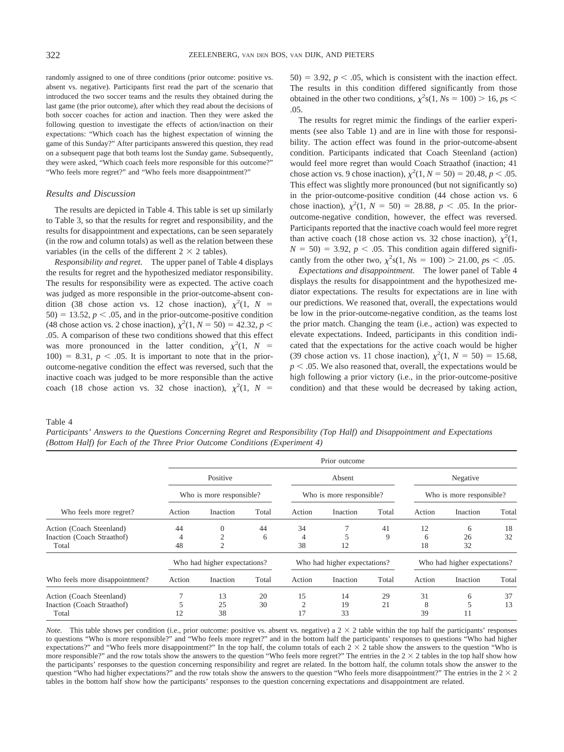randomly assigned to one of three conditions (prior outcome: positive vs. absent vs. negative). Participants first read the part of the scenario that introduced the two soccer teams and the results they obtained during the last game (the prior outcome), after which they read about the decisions of both soccer coaches for action and inaction. Then they were asked the following question to investigate the effects of action/inaction on their expectations: "Which coach has the highest expectation of winning the game of this Sunday?" After participants answered this question, they read on a subsequent page that both teams lost the Sunday game. Subsequently, they were asked, "Which coach feels more responsible for this outcome?" "Who feels more regret?" and "Who feels more disappointment?"

## *Results and Discussion*

The results are depicted in Table 4. This table is set up similarly to Table 3, so that the results for regret and responsibility, and the results for disappointment and expectations, can be seen separately (in the row and column totals) as well as the relation between these variables (in the cells of the different  $2 \times 2$  tables).

*Responsibility and regret.* The upper panel of Table 4 displays the results for regret and the hypothesized mediator responsibility. The results for responsibility were as expected. The active coach was judged as more responsible in the prior-outcome-absent condition (38 chose action vs. 12 chose inaction),  $\chi^2(1, N =$  $50$ ) = 13.52,  $p < .05$ , and in the prior-outcome-positive condition (48 chose action vs. 2 chose inaction),  $\chi^2(1, N = 50) = 42.32, p <$ .05. A comparison of these two conditions showed that this effect was more pronounced in the latter condition,  $\chi^2(1, N)$  $100$ ) = 8.31,  $p < .05$ . It is important to note that in the prioroutcome-negative condition the effect was reversed, such that the inactive coach was judged to be more responsible than the active coach (18 chose action vs. 32 chose inaction),  $\chi^2(1, N =$ 

 $50$ ) = 3.92,  $p < .05$ , which is consistent with the inaction effect. The results in this condition differed significantly from those obtained in the other two conditions,  $\chi^2 s(1, Ns = 100) > 16$ ,  $ps <$ .05.

The results for regret mimic the findings of the earlier experiments (see also Table 1) and are in line with those for responsibility. The action effect was found in the prior-outcome-absent condition. Participants indicated that Coach Steenland (action) would feel more regret than would Coach Straathof (inaction; 41 chose action vs. 9 chose inaction),  $\chi^2(1, N = 50) = 20.48, p < .05$ . This effect was slightly more pronounced (but not significantly so) in the prior-outcome-positive condition (44 chose action vs. 6 chose inaction),  $\chi^2(1, N = 50) = 28.88, p < .05$ . In the prioroutcome-negative condition, however, the effect was reversed. Participants reported that the inactive coach would feel more regret than active coach (18 chose action vs. 32 chose inaction),  $\chi^2(1)$ ,  $N = 50$ ) = 3.92,  $p < .05$ . This condition again differed significantly from the other two,  $\chi^2 s(1, Ns = 100) > 21.00, ps < .05$ .

*Expectations and disappointment.* The lower panel of Table 4 displays the results for disappointment and the hypothesized mediator expectations. The results for expectations are in line with our predictions. We reasoned that, overall, the expectations would be low in the prior-outcome-negative condition, as the teams lost the prior match. Changing the team (i.e., action) was expected to elevate expectations. Indeed, participants in this condition indicated that the expectations for the active coach would be higher (39 chose action vs. 11 chose inaction),  $\chi^2(1, N = 50) = 15.68$ ,  $p < .05$ . We also reasoned that, overall, the expectations would be high following a prior victory (i.e., in the prior-outcome-positive condition) and that these would be decreased by taking action,

Table 4

*Participants' Answers to the Questions Concerning Regret and Responsibility (Top Half) and Disappointment and Expectations (Bottom Half) for Each of the Three Prior Outcome Conditions (Experiment 4)*

|                                                                 | Prior outcome            |                                                   |          |                            |                              |          |                          |                              |          |
|-----------------------------------------------------------------|--------------------------|---------------------------------------------------|----------|----------------------------|------------------------------|----------|--------------------------|------------------------------|----------|
|                                                                 |                          | Positive                                          |          | Absent                     |                              |          | Negative                 |                              |          |
|                                                                 | Who is more responsible? |                                                   |          | Who is more responsible?   |                              |          | Who is more responsible? |                              |          |
| Who feels more regret?                                          | Action                   | Inaction                                          | Total    | Action                     | Inaction                     | Total    | Action                   | Inaction                     | Total    |
| Action (Coach Steenland)<br>Inaction (Coach Straathof)<br>Total | 44<br>48                 | $\overline{0}$<br>$\mathcal{L}$<br>$\overline{c}$ | 44<br>6  | 34<br>4<br>38              | 12                           | 41<br>9  | 12<br>6<br>18            | 6<br>26<br>32                | 18<br>32 |
|                                                                 |                          | Who had higher expectations?                      |          |                            | Who had higher expectations? |          |                          | Who had higher expectations? |          |
| Who feels more disappointment?                                  | Action                   | Inaction                                          | Total    | Action                     | Inaction                     | Total    | Action                   | Inaction                     | Total    |
| Action (Coach Steenland)<br>Inaction (Coach Straathof)<br>Total | 12                       | 13<br>25<br>38                                    | 20<br>30 | 15<br>$\overline{c}$<br>17 | 14<br>19<br>33               | 29<br>21 | 31<br>8<br>39            | 6<br>5<br>11                 | 37<br>13 |

*Note.* This table shows per condition (i.e., prior outcome: positive vs. absent vs. negative) a  $2 \times 2$  table within the top half the participants' responses to questions "Who is more responsible?" and "Who feels more regret?" and in the bottom half the participants' responses to questions "Who had higher expectations?" and "Who feels more disappointment?" In the top half, the column totals of each  $2 \times 2$  table show the answers to the question "Who is more responsible?" and the row totals show the answers to the question "Who feels more regret?" The entries in the  $2 \times 2$  tables in the top half show how the participants' responses to the question concerning responsibility and regret are related. In the bottom half, the column totals show the answer to the question "Who had higher expectations?" and the row totals show the answers to the question "Who feels more disappointment?" The entries in the  $2 \times 2$ tables in the bottom half show how the participants' responses to the question concerning expectations and disappointment are related.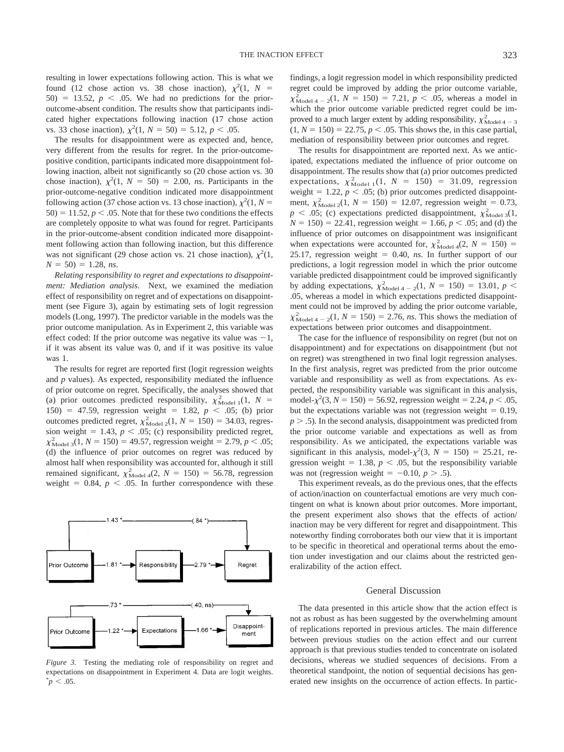resulting in lower expectations following action. This is what we found (12 chose action vs. 38 chose inaction),  $\chi^2(1, N =$  $50) = 13.52, p < .05$ . We had no predictions for the prioroutcome-absent condition. The results show that participants indicated higher expectations following inaction (17 chose action vs. 33 chose inaction),  $\chi^2(1, N = 50) = 5.12, p < .05$ .

The results for disappointment were as expected and, hence, very different from the results for regret. In the prior-outcomepositive condition, participants indicated more disappointment following inaction, albeit not significantly so (20 chose action vs. 30 chose inaction),  $\chi^2(1, N = 50) = 2.00$ , *ns*. Participants in the prior-outcome-negative condition indicated more disappointment following action (37 chose action vs. 13 chose inaction),  $\chi^2(1, N =$  $50$ ) = 11.52,  $p < 0.05$ . Note that for these two conditions the effects are completely opposite to what was found for regret. Participants in the prior-outcome-absent condition indicated more disappointment following action than following inaction, but this difference was not significant (29 chose action vs. 21 chose inaction),  $\chi^2(1)$ ,  $N = 50$ ) = 1.28, *ns*.

*Relating responsibility to regret and expectations to disappointment: Mediation analysis.* Next, we examined the mediation effect of responsibility on regret and of expectations on disappointment (see Figure 3), again by estimating sets of logit regression models (Long, 1997). The predictor variable in the models was the prior outcome manipulation. As in Experiment 2, this variable was effect coded: If the prior outcome was negative its value was  $-1$ , if it was absent its value was 0, and if it was positive its value was 1.

The results for regret are reported first (logit regression weights and *p* values). As expected, responsibility mediated the influence of prior outcome on regret. Specifically, the analyses showed that (a) prior outcomes predicted responsibility,  $\chi^2_{\text{Model 1}}(1, N =$ 150) = 47.59, regression weight = 1.82,  $p < .05$ ; (b) prior outcomes predicted regret,  $\chi^2_{\text{Model 2}}(1, N = 150) = 34.03$ , regression weight  $= 1.43$ ,  $p \le 0.05$ ; (c) responsibility predicted regret,  $\chi^2_{\text{Model 3}}(1, N = 150) = 49.57$ , regression weight = 2.79, *p* < .05; (d) the influence of prior outcomes on regret was reduced by almost half when responsibility was accounted for, although it still remained significant,  $\chi^2_{\text{Model 4}}(2, N = 150) = 56.78$ , regression weight  $= 0.84$ ,  $p < .05$ . In further correspondence with these



*Figure 3.* Testing the mediating role of responsibility on regret and expectations on disappointment in Experiment 4. Data are logit weights.  $p^*$  < .05.

findings, a logit regression model in which responsibility predicted regret could be improved by adding the prior outcome variable,  $\chi^2$ <sub>Model 4</sub> – <sub>2</sub>(1, *N* = 150) = 7.21, *p* < .05, whereas a model in which the prior outcome variable predicted regret could be improved to a much larger extent by adding responsibility,  $\chi^2_{\text{Model 4-3}}$  $(1, N = 150) = 22.75, p < .05$ . This shows the, in this case partial, mediation of responsibility between prior outcomes and regret.

The results for disappointment are reported next. As we anticipated, expectations mediated the influence of prior outcome on disappointment. The results show that (a) prior outcomes predicted expectations,  $\chi^2_{\text{Model 1}}(1, N = 150) = 31.09$ , regression weight  $= 1.22$ ,  $p < .05$ ; (b) prior outcomes predicted disappointment,  $\chi^2_{\text{Model 2}}(1, N = 150) = 12.07$ , regression weight = 0.73,  $p < .05$ ; (c) expectations predicted disappointment,  $\chi^2_{\text{Model 3}}(1,$  $N = 150$ ) = 22.41, regression weight = 1.66,  $p < .05$ ; and (d) the influence of prior outcomes on disappointment was insignificant when expectations were accounted for,  $\chi^2_{\text{Model 4}}(2, N = 150)$  = 25.17, regression weight  $= 0.40$ , *ns*. In further support of our predictions, a logit regression model in which the prior outcome variable predicted disappointment could be improved significantly by adding expectations,  $\chi^2_{\text{Model 4--2}}(1, N = 150) = 13.01, p <$ .05, whereas a model in which expectations predicted disappointment could not be improved by adding the prior outcome variable,  $\chi^2_{\text{Model 4} - 2}(1, N = 150) = 2.76$ , *ns*. This shows the mediation of expectations between prior outcomes and disappointment.

The case for the influence of responsibility on regret (but not on disappointment) and for expectations on disappointment (but not on regret) was strengthened in two final logit regression analyses. In the first analysis, regret was predicted from the prior outcome variable and responsibility as well as from expectations. As expected, the responsibility variable was significant in this analysis, model- $\chi^2(3, N = 150) = 56.92$ , regression weight = 2.24, *p* < .05, but the expectations variable was not (regression weight  $= 0.19$ ,  $p > .5$ ). In the second analysis, disappointment was predicted from the prior outcome variable and expectations as well as from responsibility. As we anticipated, the expectations variable was significant in this analysis, model- $\chi^2(3, N = 150) = 25.21$ , regression weight  $= 1.38$ ,  $p < .05$ , but the responsibility variable was not (regression weight  $= -0.10, p > .5$ ).

This experiment reveals, as do the previous ones, that the effects of action/inaction on counterfactual emotions are very much contingent on what is known about prior outcomes. More important, the present experiment also shows that the effects of action/ inaction may be very different for regret and disappointment. This noteworthy finding corroborates both our view that it is important to be specific in theoretical and operational terms about the emotion under investigation and our claims about the restricted generalizability of the action effect.

#### General Discussion

The data presented in this article show that the action effect is not as robust as has been suggested by the overwhelming amount of replications reported in previous articles. The main difference between previous studies on the action effect and our current approach is that previous studies tended to concentrate on isolated decisions, whereas we studied sequences of decisions. From a theoretical standpoint, the notion of sequential decisions has generated new insights on the occurrence of action effects. In partic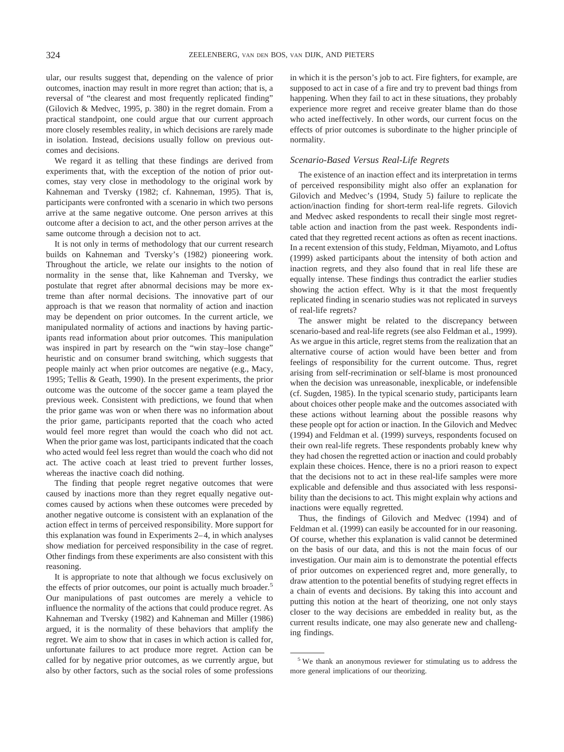ular, our results suggest that, depending on the valence of prior outcomes, inaction may result in more regret than action; that is, a reversal of "the clearest and most frequently replicated finding" (Gilovich & Medvec, 1995, p. 380) in the regret domain. From a practical standpoint, one could argue that our current approach more closely resembles reality, in which decisions are rarely made in isolation. Instead, decisions usually follow on previous outcomes and decisions.

We regard it as telling that these findings are derived from experiments that, with the exception of the notion of prior outcomes, stay very close in methodology to the original work by Kahneman and Tversky (1982; cf. Kahneman, 1995). That is, participants were confronted with a scenario in which two persons arrive at the same negative outcome. One person arrives at this outcome after a decision to act, and the other person arrives at the same outcome through a decision not to act.

It is not only in terms of methodology that our current research builds on Kahneman and Tversky's (1982) pioneering work. Throughout the article, we relate our insights to the notion of normality in the sense that, like Kahneman and Tversky, we postulate that regret after abnormal decisions may be more extreme than after normal decisions. The innovative part of our approach is that we reason that normality of action and inaction may be dependent on prior outcomes. In the current article, we manipulated normality of actions and inactions by having participants read information about prior outcomes. This manipulation was inspired in part by research on the "win stay–lose change" heuristic and on consumer brand switching, which suggests that people mainly act when prior outcomes are negative (e.g., Macy, 1995; Tellis & Geath, 1990). In the present experiments, the prior outcome was the outcome of the soccer game a team played the previous week. Consistent with predictions, we found that when the prior game was won or when there was no information about the prior game, participants reported that the coach who acted would feel more regret than would the coach who did not act. When the prior game was lost, participants indicated that the coach who acted would feel less regret than would the coach who did not act. The active coach at least tried to prevent further losses, whereas the inactive coach did nothing.

The finding that people regret negative outcomes that were caused by inactions more than they regret equally negative outcomes caused by actions when these outcomes were preceded by another negative outcome is consistent with an explanation of the action effect in terms of perceived responsibility. More support for this explanation was found in Experiments 2–4, in which analyses show mediation for perceived responsibility in the case of regret. Other findings from these experiments are also consistent with this reasoning.

It is appropriate to note that although we focus exclusively on the effects of prior outcomes, our point is actually much broader.<sup>5</sup> Our manipulations of past outcomes are merely a vehicle to influence the normality of the actions that could produce regret. As Kahneman and Tversky (1982) and Kahneman and Miller (1986) argued, it is the normality of these behaviors that amplify the regret. We aim to show that in cases in which action is called for, unfortunate failures to act produce more regret. Action can be called for by negative prior outcomes, as we currently argue, but also by other factors, such as the social roles of some professions in which it is the person's job to act. Fire fighters, for example, are supposed to act in case of a fire and try to prevent bad things from happening. When they fail to act in these situations, they probably experience more regret and receive greater blame than do those who acted ineffectively. In other words, our current focus on the effects of prior outcomes is subordinate to the higher principle of normality.

## *Scenario-Based Versus Real-Life Regrets*

The existence of an inaction effect and its interpretation in terms of perceived responsibility might also offer an explanation for Gilovich and Medvec's (1994, Study 5) failure to replicate the action/inaction finding for short-term real-life regrets. Gilovich and Medvec asked respondents to recall their single most regrettable action and inaction from the past week. Respondents indicated that they regretted recent actions as often as recent inactions. In a recent extension of this study, Feldman, Miyamoto, and Loftus (1999) asked participants about the intensity of both action and inaction regrets, and they also found that in real life these are equally intense. These findings thus contradict the earlier studies showing the action effect. Why is it that the most frequently replicated finding in scenario studies was not replicated in surveys of real-life regrets?

The answer might be related to the discrepancy between scenario-based and real-life regrets (see also Feldman et al., 1999). As we argue in this article, regret stems from the realization that an alternative course of action would have been better and from feelings of responsibility for the current outcome. Thus, regret arising from self-recrimination or self-blame is most pronounced when the decision was unreasonable, inexplicable, or indefensible (cf. Sugden, 1985). In the typical scenario study, participants learn about choices other people make and the outcomes associated with these actions without learning about the possible reasons why these people opt for action or inaction. In the Gilovich and Medvec (1994) and Feldman et al. (1999) surveys, respondents focused on their own real-life regrets. These respondents probably knew why they had chosen the regretted action or inaction and could probably explain these choices. Hence, there is no a priori reason to expect that the decisions not to act in these real-life samples were more explicable and defensible and thus associated with less responsibility than the decisions to act. This might explain why actions and inactions were equally regretted.

Thus, the findings of Gilovich and Medvec (1994) and of Feldman et al. (1999) can easily be accounted for in our reasoning. Of course, whether this explanation is valid cannot be determined on the basis of our data, and this is not the main focus of our investigation. Our main aim is to demonstrate the potential effects of prior outcomes on experienced regret and, more generally, to draw attention to the potential benefits of studying regret effects in a chain of events and decisions. By taking this into account and putting this notion at the heart of theorizing, one not only stays closer to the way decisions are embedded in reality but, as the current results indicate, one may also generate new and challenging findings.

<sup>5</sup> We thank an anonymous reviewer for stimulating us to address the more general implications of our theorizing.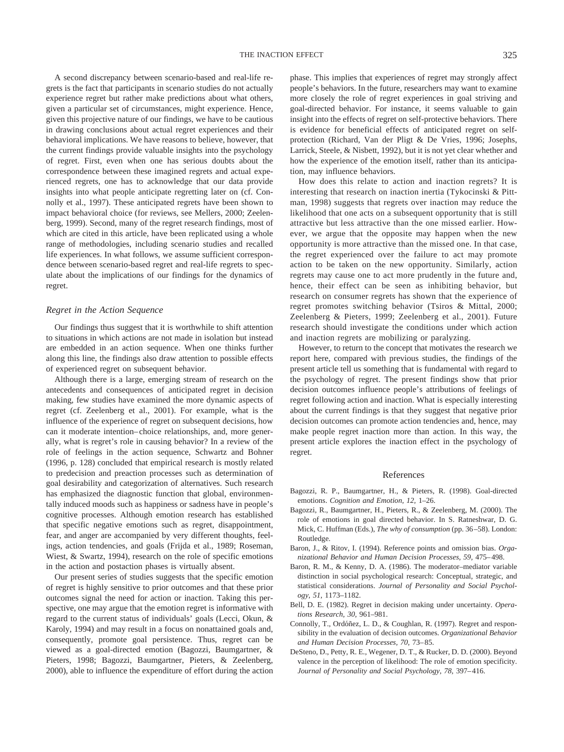A second discrepancy between scenario-based and real-life regrets is the fact that participants in scenario studies do not actually experience regret but rather make predictions about what others, given a particular set of circumstances, might experience. Hence, given this projective nature of our findings, we have to be cautious in drawing conclusions about actual regret experiences and their behavioral implications. We have reasons to believe, however, that the current findings provide valuable insights into the psychology of regret. First, even when one has serious doubts about the correspondence between these imagined regrets and actual experienced regrets, one has to acknowledge that our data provide insights into what people anticipate regretting later on (cf. Connolly et al., 1997). These anticipated regrets have been shown to impact behavioral choice (for reviews, see Mellers, 2000; Zeelenberg, 1999). Second, many of the regret research findings, most of which are cited in this article, have been replicated using a whole range of methodologies, including scenario studies and recalled life experiences. In what follows, we assume sufficient correspondence between scenario-based regret and real-life regrets to speculate about the implications of our findings for the dynamics of regret.

#### *Regret in the Action Sequence*

Our findings thus suggest that it is worthwhile to shift attention to situations in which actions are not made in isolation but instead are embedded in an action sequence. When one thinks further along this line, the findings also draw attention to possible effects of experienced regret on subsequent behavior.

Although there is a large, emerging stream of research on the antecedents and consequences of anticipated regret in decision making, few studies have examined the more dynamic aspects of regret (cf. Zeelenberg et al., 2001). For example, what is the influence of the experience of regret on subsequent decisions, how can it moderate intention–choice relationships, and, more generally, what is regret's role in causing behavior? In a review of the role of feelings in the action sequence, Schwartz and Bohner (1996, p. 128) concluded that empirical research is mostly related to predecision and preaction processes such as determination of goal desirability and categorization of alternatives. Such research has emphasized the diagnostic function that global, environmentally induced moods such as happiness or sadness have in people's cognitive processes. Although emotion research has established that specific negative emotions such as regret, disappointment, fear, and anger are accompanied by very different thoughts, feelings, action tendencies, and goals (Frijda et al., 1989; Roseman, Wiest, & Swartz, 1994), research on the role of specific emotions in the action and postaction phases is virtually absent.

Our present series of studies suggests that the specific emotion of regret is highly sensitive to prior outcomes and that these prior outcomes signal the need for action or inaction. Taking this perspective, one may argue that the emotion regret is informative with regard to the current status of individuals' goals (Lecci, Okun, & Karoly, 1994) and may result in a focus on nonattained goals and, consequently, promote goal persistence. Thus, regret can be viewed as a goal-directed emotion (Bagozzi, Baumgartner, & Pieters, 1998; Bagozzi, Baumgartner, Pieters, & Zeelenberg, 2000), able to influence the expenditure of effort during the action phase. This implies that experiences of regret may strongly affect people's behaviors. In the future, researchers may want to examine more closely the role of regret experiences in goal striving and goal-directed behavior. For instance, it seems valuable to gain insight into the effects of regret on self-protective behaviors. There is evidence for beneficial effects of anticipated regret on selfprotection (Richard, Van der Pligt & De Vries, 1996; Josephs, Larrick, Steele, & Nisbett, 1992), but it is not yet clear whether and how the experience of the emotion itself, rather than its anticipation, may influence behaviors.

How does this relate to action and inaction regrets? It is interesting that research on inaction inertia (Tykocinski & Pittman, 1998) suggests that regrets over inaction may reduce the likelihood that one acts on a subsequent opportunity that is still attractive but less attractive than the one missed earlier. However, we argue that the opposite may happen when the new opportunity is more attractive than the missed one. In that case, the regret experienced over the failure to act may promote action to be taken on the new opportunity. Similarly, action regrets may cause one to act more prudently in the future and, hence, their effect can be seen as inhibiting behavior, but research on consumer regrets has shown that the experience of regret promotes switching behavior (Tsiros & Mittal, 2000; Zeelenberg & Pieters, 1999; Zeelenberg et al., 2001). Future research should investigate the conditions under which action and inaction regrets are mobilizing or paralyzing.

However, to return to the concept that motivates the research we report here, compared with previous studies, the findings of the present article tell us something that is fundamental with regard to the psychology of regret. The present findings show that prior decision outcomes influence people's attributions of feelings of regret following action and inaction. What is especially interesting about the current findings is that they suggest that negative prior decision outcomes can promote action tendencies and, hence, may make people regret inaction more than action. In this way, the present article explores the inaction effect in the psychology of regret.

#### References

- Bagozzi, R. P., Baumgartner, H., & Pieters, R. (1998). Goal-directed emotions. *Cognition and Emotion, 12,* 1–26.
- Bagozzi, R., Baumgartner, H., Pieters, R., & Zeelenberg, M. (2000). The role of emotions in goal directed behavior. In S. Ratneshwar, D. G. Mick, C. Huffman (Eds.), *The why of consumption* (pp. 36–58). London: Routledge.
- Baron, J., & Ritov, I. (1994). Reference points and omission bias. *Organizational Behavior and Human Decision Processes, 59,* 475–498.
- Baron, R. M., & Kenny, D. A. (1986). The moderator–mediator variable distinction in social psychological research: Conceptual, strategic, and statistical considerations. *Journal of Personality and Social Psychology, 51,* 1173–1182.
- Bell, D. E. (1982). Regret in decision making under uncertainty. *Operations Research, 30,* 961–981.
- Connolly, T., Ordóñez, L. D., & Coughlan, R. (1997). Regret and responsibility in the evaluation of decision outcomes. *Organizational Behavior and Human Decision Processes, 70,* 73–85.
- DeSteno, D., Petty, R. E., Wegener, D. T., & Rucker, D. D. (2000). Beyond valence in the perception of likelihood: The role of emotion specificity. *Journal of Personality and Social Psychology, 78,* 397–416.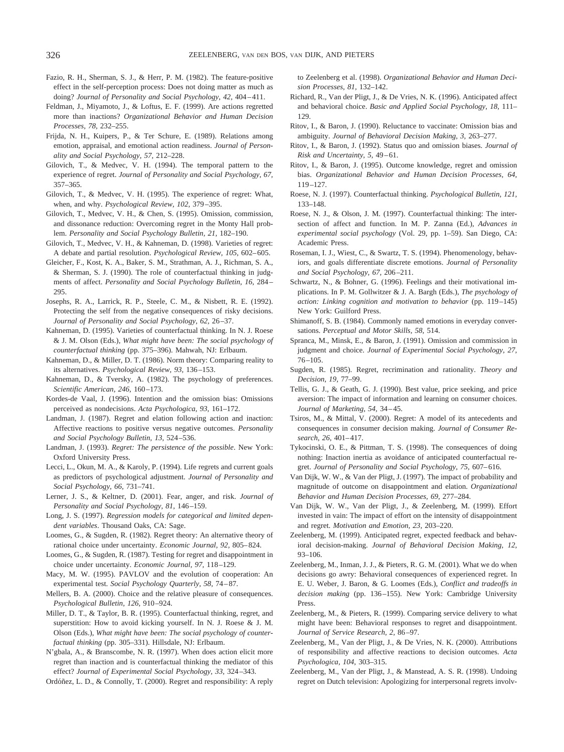- Fazio, R. H., Sherman, S. J., & Herr, P. M. (1982). The feature-positive effect in the self-perception process: Does not doing matter as much as doing? *Journal of Personality and Social Psychology, 42,* 404–411.
- Feldman, J., Miyamoto, J., & Loftus, E. F. (1999). Are actions regretted more than inactions? *Organizational Behavior and Human Decision Processes, 78,* 232–255.
- Frijda, N. H., Kuipers, P., & Ter Schure, E. (1989). Relations among emotion, appraisal, and emotional action readiness. *Journal of Personality and Social Psychology, 57,* 212–228.
- Gilovich, T., & Medvec, V. H. (1994). The temporal pattern to the experience of regret. *Journal of Personality and Social Psychology, 67,* 357–365.
- Gilovich, T., & Medvec, V. H. (1995). The experience of regret: What, when, and why. *Psychological Review, 102,* 379–395.
- Gilovich, T., Medvec, V. H., & Chen, S. (1995). Omission, commission, and dissonance reduction: Overcoming regret in the Monty Hall problem. *Personality and Social Psychology Bulletin, 21,* 182–190.
- Gilovich, T., Medvec, V. H., & Kahneman, D. (1998). Varieties of regret: A debate and partial resolution. *Psychological Review, 105,* 602–605.
- Gleicher, F., Kost, K. A., Baker, S. M., Strathman, A. J., Richman, S. A., & Sherman, S. J. (1990). The role of counterfactual thinking in judgments of affect. *Personality and Social Psychology Bulletin, 16,* 284– 295.
- Josephs, R. A., Larrick, R. P., Steele, C. M., & Nisbett, R. E. (1992). Protecting the self from the negative consequences of risky decisions. *Journal of Personality and Social Psychology, 62,* 26–37.
- Kahneman, D. (1995). Varieties of counterfactual thinking. In N. J. Roese & J. M. Olson (Eds.), *What might have been: The social psychology of counterfactual thinking* (pp. 375–396). Mahwah, NJ: Erlbaum.
- Kahneman, D., & Miller, D. T. (1986). Norm theory: Comparing reality to its alternatives. *Psychological Review, 93,* 136–153.
- Kahneman, D., & Tversky, A. (1982). The psychology of preferences. *Scientific American, 246,* 160–173.
- Kordes-de Vaal, J. (1996). Intention and the omission bias: Omissions perceived as nondecisions. *Acta Psychologica, 93,* 161–172.
- Landman, J. (1987). Regret and elation following action and inaction: Affective reactions to positive versus negative outcomes. *Personality and Social Psychology Bulletin, 13,* 524–536.
- Landman, J. (1993). *Regret: The persistence of the possible*. New York: Oxford University Press.
- Lecci, L., Okun, M. A., & Karoly, P. (1994). Life regrets and current goals as predictors of psychological adjustment. *Journal of Personality and Social Psychology, 66,* 731–741.
- Lerner, J. S., & Keltner, D. (2001). Fear, anger, and risk. *Journal of Personality and Social Psychology, 81,* 146–159.
- Long, J. S. (1997). *Regression models for categorical and limited dependent variables*. Thousand Oaks, CA: Sage.
- Loomes, G., & Sugden, R. (1982). Regret theory: An alternative theory of rational choice under uncertainty. *Economic Journal, 92,* 805–824.
- Loomes, G., & Sugden, R. (1987). Testing for regret and disappointment in choice under uncertainty. *Economic Journal, 97,* 118–129.
- Macy, M. W. (1995). PAVLOV and the evolution of cooperation: An experimental test. *Social Psychology Quarterly, 58,* 74–87.
- Mellers, B. A. (2000). Choice and the relative pleasure of consequences. *Psychological Bulletin, 126,* 910–924.
- Miller, D. T., & Taylor, B. R. (1995). Counterfactual thinking, regret, and superstition: How to avoid kicking yourself. In N. J. Roese & J. M. Olson (Eds.), *What might have been: The social psychology of counterfactual thinking* (pp. 305–331). Hillsdale, NJ: Erlbaum.
- N'gbala, A., & Branscombe, N. R. (1997). When does action elicit more regret than inaction and is counterfactual thinking the mediator of this effect? *Journal of Experimental Social Psychology, 33,* 324–343.
- Ordóñez, L. D., & Connolly, T. (2000). Regret and responsibility: A reply

to Zeelenberg et al. (1998). *Organizational Behavior and Human Decision Processes, 81,* 132–142.

- Richard, R., Van der Pligt, J., & De Vries, N. K. (1996). Anticipated affect and behavioral choice. *Basic and Applied Social Psychology, 18,* 111– 129.
- Ritov, I., & Baron, J. (1990). Reluctance to vaccinate: Omission bias and ambiguity. *Journal of Behavioral Decision Making, 3,* 263–277.
- Ritov, I., & Baron, J. (1992). Status quo and omission biases. *Journal of Risk and Uncertainty, 5,* 49–61.
- Ritov, I., & Baron, J. (1995). Outcome knowledge, regret and omission bias. *Organizational Behavior and Human Decision Processes, 64,* 119–127.
- Roese, N. J. (1997). Counterfactual thinking. *Psychological Bulletin, 121,* 133–148.
- Roese, N. J., & Olson, J. M. (1997). Counterfactual thinking: The intersection of affect and function. In M. P. Zanna (Ed.), *Advances in experimental social psychology* (Vol. 29, pp. 1–59). San Diego, CA: Academic Press.
- Roseman, I. J., Wiest, C., & Swartz, T. S. (1994). Phenomenology, behaviors, and goals differentiate discrete emotions. *Journal of Personality and Social Psychology, 67,* 206–211.
- Schwartz, N., & Bohner, G. (1996). Feelings and their motivational implications. In P. M. Gollwitzer & J. A. Bargh (Eds.), *The psychology of action: Linking cognition and motivation to behavior* (pp. 119–145) New York: Guilford Press.
- Shimanoff, S. B. (1984). Commonly named emotions in everyday conversations. *Perceptual and Motor Skills, 58,* 514.
- Spranca, M., Minsk, E., & Baron, J. (1991). Omission and commission in judgment and choice. *Journal of Experimental Social Psychology, 27,* 76–105.
- Sugden, R. (1985). Regret, recrimination and rationality. *Theory and Decision, 19,* 77–99.
- Tellis, G. J., & Geath, G. J. (1990). Best value, price seeking, and price aversion: The impact of information and learning on consumer choices. *Journal of Marketing, 54,* 34–45.
- Tsiros, M., & Mittal, V. (2000). Regret: A model of its antecedents and consequences in consumer decision making. *Journal of Consumer Research, 26,* 401–417.
- Tykocinski, O. E., & Pittman, T. S. (1998). The consequences of doing nothing: Inaction inertia as avoidance of anticipated counterfactual regret. *Journal of Personality and Social Psychology, 75,* 607–616.
- Van Dijk, W. W., & Van der Pligt, J. (1997). The impact of probability and magnitude of outcome on disappointment and elation. *Organizational Behavior and Human Decision Processes, 69,* 277–284.
- Van Dijk, W. W., Van der Pligt, J., & Zeelenberg, M. (1999). Effort invested in vain: The impact of effort on the intensity of disappointment and regret. *Motivation and Emotion, 23,* 203–220.
- Zeelenberg, M. (1999). Anticipated regret, expected feedback and behavioral decision-making. *Journal of Behavioral Decision Making, 12,* 93–106.
- Zeelenberg, M., Inman, J. J., & Pieters, R. G. M. (2001). What we do when decisions go awry: Behavioral consequences of experienced regret. In E. U. Weber, J. Baron, & G. Loomes (Eds.), *Conflict and tradeoffs in decision making* (pp. 136–155). New York: Cambridge University Press.
- Zeelenberg, M., & Pieters, R. (1999). Comparing service delivery to what might have been: Behavioral responses to regret and disappointment. *Journal of Service Research, 2,* 86–97.
- Zeelenberg, M., Van der Pligt, J., & De Vries, N. K. (2000). Attributions of responsibility and affective reactions to decision outcomes. *Acta Psychologica, 104,* 303–315.
- Zeelenberg, M., Van der Pligt, J., & Manstead, A. S. R. (1998). Undoing regret on Dutch television: Apologizing for interpersonal regrets involv-